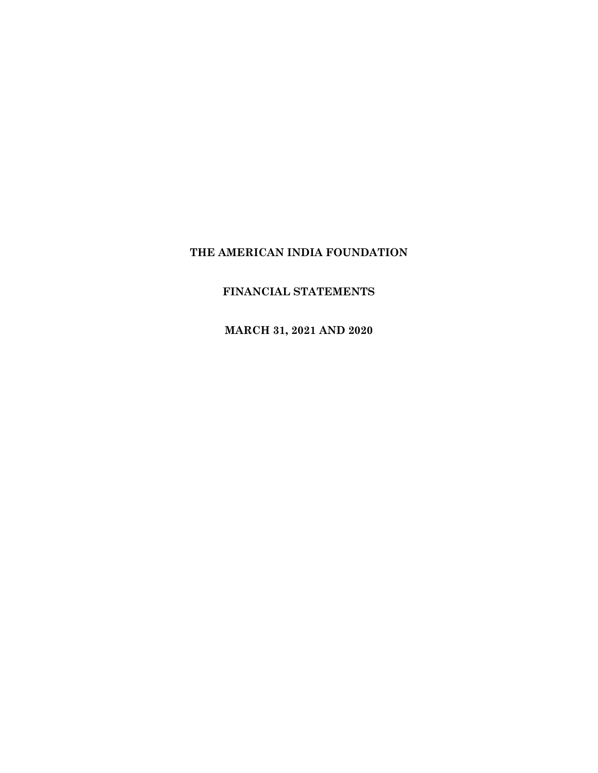# **FINANCIAL STATEMENTS**

**MARCH 31, 2021 AND 2020**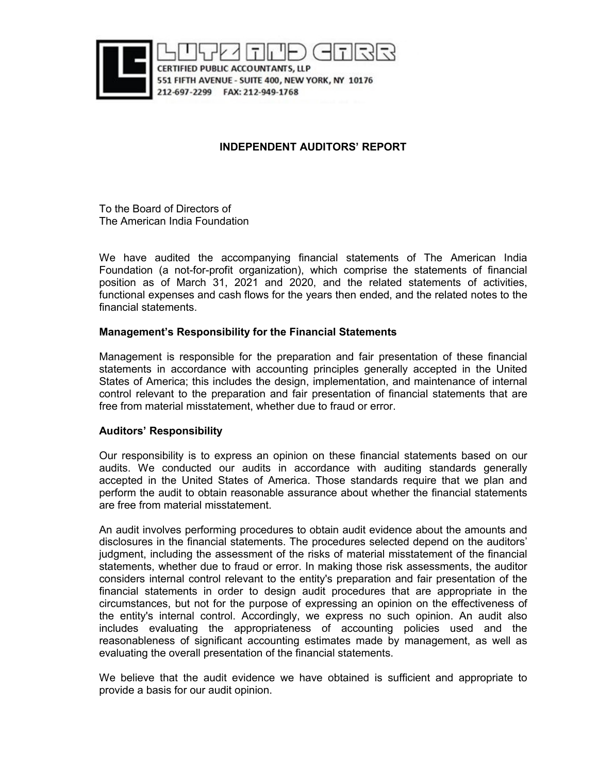

# **INDEPENDENT AUDITORS' REPORT**

To the Board of Directors of The American India Foundation

We have audited the accompanying financial statements of The American India Foundation (a not-for-profit organization), which comprise the statements of financial position as of March 31, 2021 and 2020, and the related statements of activities, functional expenses and cash flows for the years then ended, and the related notes to the financial statements.

# **Management's Responsibility for the Financial Statements**

Management is responsible for the preparation and fair presentation of these financial statements in accordance with accounting principles generally accepted in the United States of America; this includes the design, implementation, and maintenance of internal control relevant to the preparation and fair presentation of financial statements that are free from material misstatement, whether due to fraud or error.

# **Auditors' Responsibility**

Our responsibility is to express an opinion on these financial statements based on our audits. We conducted our audits in accordance with auditing standards generally accepted in the United States of America. Those standards require that we plan and perform the audit to obtain reasonable assurance about whether the financial statements are free from material misstatement.

An audit involves performing procedures to obtain audit evidence about the amounts and disclosures in the financial statements. The procedures selected depend on the auditors' judgment, including the assessment of the risks of material misstatement of the financial statements, whether due to fraud or error. In making those risk assessments, the auditor considers internal control relevant to the entity's preparation and fair presentation of the financial statements in order to design audit procedures that are appropriate in the circumstances, but not for the purpose of expressing an opinion on the effectiveness of the entity's internal control. Accordingly, we express no such opinion. An audit also includes evaluating the appropriateness of accounting policies used and the reasonableness of significant accounting estimates made by management, as well as evaluating the overall presentation of the financial statements.

We believe that the audit evidence we have obtained is sufficient and appropriate to provide a basis for our audit opinion.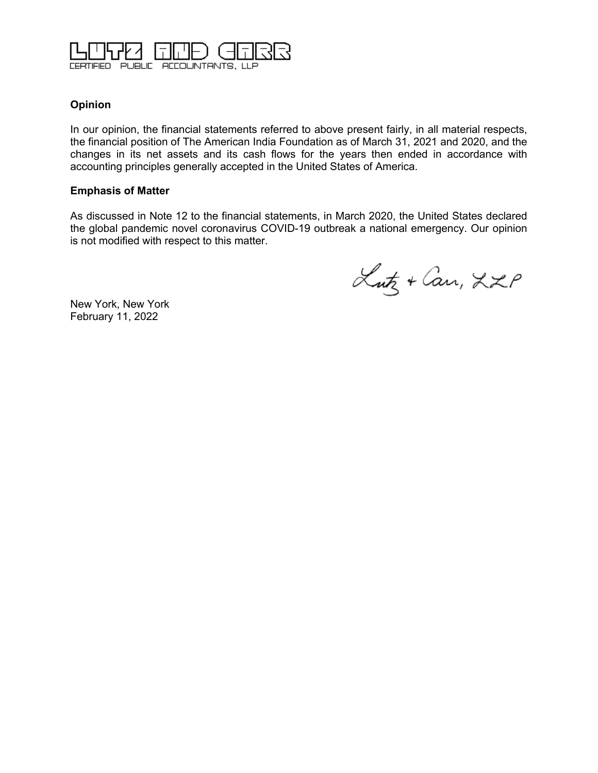

# **Opinion**

In our opinion, the financial statements referred to above present fairly, in all material respects, the financial position of The American India Foundation as of March 31, 2021 and 2020, and the changes in its net assets and its cash flows for the years then ended in accordance with accounting principles generally accepted in the United States of America.

# **Emphasis of Matter**

As discussed in Note 12 to the financial statements, in March 2020, the United States declared the global pandemic novel coronavirus COVID-19 outbreak a national emergency. Our opinion is not modified with respect to this matter.

Lutz + Can, LZP

New York, New York February 11, 2022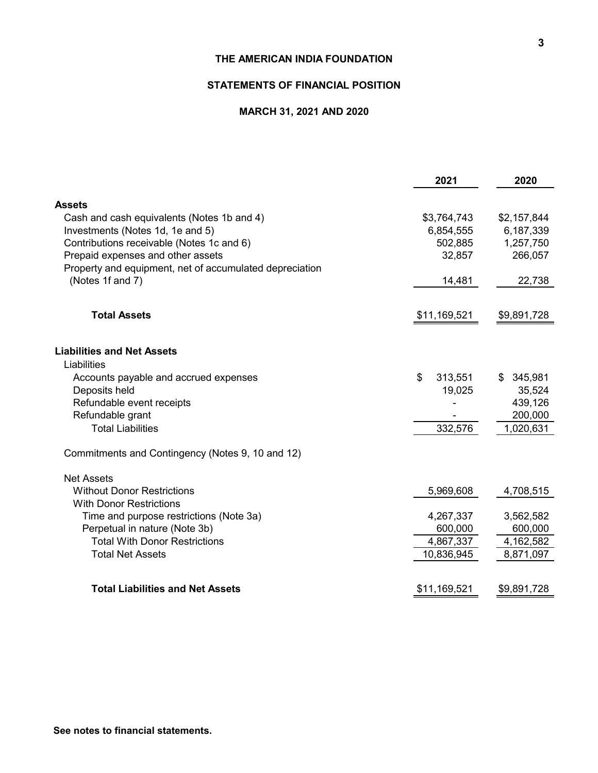# **STATEMENTS OF FINANCIAL POSITION**

## **MARCH 31, 2021 AND 2020**

|              | \$2,157,844                                                                                         |
|--------------|-----------------------------------------------------------------------------------------------------|
|              | 6,187,339                                                                                           |
|              | 1,257,750                                                                                           |
|              | 266,057                                                                                             |
|              |                                                                                                     |
| 14,481       | 22,738                                                                                              |
|              |                                                                                                     |
| \$11,169,521 | \$9,891,728                                                                                         |
|              |                                                                                                     |
|              |                                                                                                     |
|              | \$345,981                                                                                           |
|              | 35,524                                                                                              |
|              | 439,126                                                                                             |
|              | 200,000                                                                                             |
|              | 1,020,631                                                                                           |
|              |                                                                                                     |
|              |                                                                                                     |
| 5,969,608    | 4,708,515                                                                                           |
|              |                                                                                                     |
| 4,267,337    | 3,562,582                                                                                           |
| 600,000      | 600,000                                                                                             |
| 4,867,337    | 4,162,582                                                                                           |
| 10,836,945   | 8,871,097                                                                                           |
|              | \$9,891,728                                                                                         |
|              | \$3,764,743<br>6,854,555<br>502,885<br>32,857<br>\$<br>313,551<br>19,025<br>332,576<br>\$11,169,521 |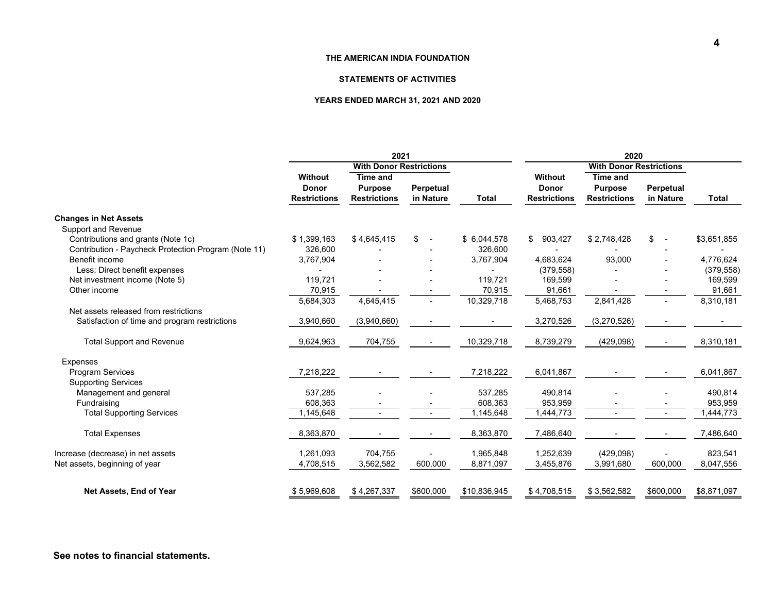#### **STATEMENTS OF ACTIVITIES**

#### **YEARS ENDED MARCH 31, 2021 AND 2020**

|                                                      |                                | 2021                | 2020                     |              |                     |                     |                                |              |
|------------------------------------------------------|--------------------------------|---------------------|--------------------------|--------------|---------------------|---------------------|--------------------------------|--------------|
|                                                      | <b>With Donor Restrictions</b> |                     |                          |              |                     |                     |                                |              |
|                                                      | Without                        | <b>Time and</b>     |                          |              | Without             | <b>Time and</b>     |                                |              |
|                                                      | <b>Donor</b>                   | <b>Purpose</b>      | Perpetual                |              | <b>Donor</b>        | <b>Purpose</b>      | Perpetual                      |              |
|                                                      | <b>Restrictions</b>            | <b>Restrictions</b> | in Nature                | <b>Total</b> | <b>Restrictions</b> | <b>Restrictions</b> | in Nature                      | <b>Total</b> |
| <b>Changes in Net Assets</b>                         |                                |                     |                          |              |                     |                     |                                |              |
| Support and Revenue                                  |                                |                     |                          |              |                     |                     |                                |              |
| Contributions and grants (Note 1c)                   | \$1,399,163                    | \$4,645,415         | \$                       | \$6,044,578  | 903,427<br>\$       | \$2,748,428         | \$<br>$\overline{\phantom{a}}$ | \$3,651,855  |
| Contribution - Paycheck Protection Program (Note 11) | 326,600                        |                     |                          | 326,600      |                     |                     |                                |              |
| Benefit income                                       | 3,767,904                      |                     |                          | 3,767,904    | 4,683,624           | 93,000              |                                | 4,776,624    |
| Less: Direct benefit expenses                        |                                |                     |                          |              | (379, 558)          |                     |                                | (379, 558)   |
| Net investment income (Note 5)                       | 119,721                        |                     |                          | 119,721      | 169,599             |                     |                                | 169,599      |
| Other income                                         | 70,915                         |                     |                          | 70,915       | 91,661              |                     |                                | 91,661       |
|                                                      | 5,684,303                      | 4,645,415           |                          | 10,329,718   | 5,468,753           | 2,841,428           |                                | 8,310,181    |
| Net assets released from restrictions                |                                |                     |                          |              |                     |                     |                                |              |
| Satisfaction of time and program restrictions        | 3,940,660                      | (3,940,660)         |                          |              | 3,270,526           | (3,270,526)         |                                |              |
| <b>Total Support and Revenue</b>                     | 9,624,963                      | 704,755             |                          | 10,329,718   | 8,739,279           | (429, 098)          |                                | 8,310,181    |
| <b>Expenses</b>                                      |                                |                     |                          |              |                     |                     |                                |              |
| <b>Program Services</b>                              | 7,218,222                      |                     |                          | 7,218,222    | 6,041,867           |                     |                                | 6,041,867    |
| <b>Supporting Services</b>                           |                                |                     |                          |              |                     |                     |                                |              |
| Management and general                               | 537,285                        |                     |                          | 537,285      | 490,814             |                     |                                | 490,814      |
| Fundraising                                          | 608,363                        |                     |                          | 608,363      | 953,959             |                     |                                | 953,959      |
| <b>Total Supporting Services</b>                     | 1,145,648                      |                     | $\overline{\phantom{a}}$ | 1,145,648    | 1,444,773           | ٠                   | $\overline{\phantom{a}}$       | 1,444,773    |
| <b>Total Expenses</b>                                | 8,363,870                      |                     |                          | 8,363,870    | 7,486,640           |                     |                                | 7,486,640    |
|                                                      |                                |                     |                          |              |                     |                     |                                |              |
| Increase (decrease) in net assets                    | 1,261,093                      | 704,755             |                          | 1,965,848    | 1,252,639           | (429,098)           |                                | 823,541      |
| Net assets, beginning of year                        | 4,708,515                      | 3,562,582           | 600,000                  | 8,871,097    | 3,455,876           | 3,991,680           | 600,000                        | 8,047,556    |
| Net Assets, End of Year                              | \$5,969,608                    | \$4,267,337         | \$600,000                | \$10,836,945 | \$4,708,515         | \$3,562,582         | \$600,000                      | \$8,871,097  |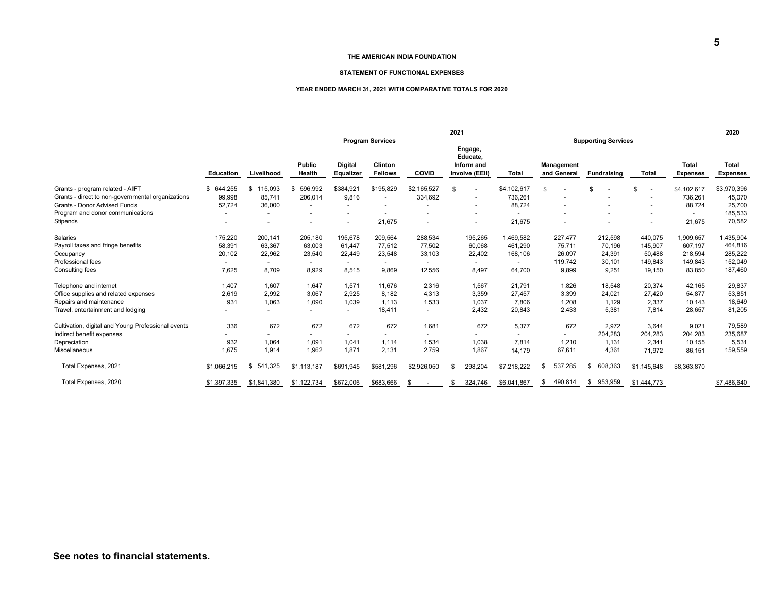#### **STATEMENT OF FUNCTIONAL EXPENSES**

#### **YEAR ENDED MARCH 31, 2021 WITH COMPARATIVE TOTALS FOR 2020**

|                                                    | 2021                                                  |                          |                  |                             |                           |              |     |                                                     |              | 2020 |                           |                    |                          |                                 |                                 |
|----------------------------------------------------|-------------------------------------------------------|--------------------------|------------------|-----------------------------|---------------------------|--------------|-----|-----------------------------------------------------|--------------|------|---------------------------|--------------------|--------------------------|---------------------------------|---------------------------------|
|                                                    | <b>Program Services</b><br><b>Supporting Services</b> |                          |                  |                             |                           |              |     |                                                     |              |      |                           |                    |                          |                                 |                                 |
|                                                    | <b>Education</b>                                      | Livelihood               | Public<br>Health | <b>Digital</b><br>Equalizer | Clinton<br><b>Fellows</b> | <b>COVID</b> |     | Engage,<br>Educate,<br>Inform and<br>Involve (EEII) | <b>Total</b> |      | Management<br>and General | <b>Fundraising</b> | Total                    | <b>Total</b><br><b>Expenses</b> | <b>Total</b><br><b>Expenses</b> |
|                                                    |                                                       |                          |                  |                             |                           |              |     |                                                     |              |      |                           |                    |                          |                                 |                                 |
| Grants - program related - AIFT                    | 644,255<br>\$                                         | 115,093<br>\$            | 596,992<br>-S    | \$384,921                   | \$195,829                 | \$2,165,527  |     | $\overline{\phantom{a}}$                            | \$4,102,617  | \$   |                           | \$                 | \$                       | \$4,102,617                     | \$3,970,396                     |
| Grants - direct to non-governmental organizations  | 99,998                                                | 85.741                   | 206,014          | 9,816                       |                           | 334,692      |     |                                                     | 736,261      |      |                           |                    |                          | 736,261                         | 45,070                          |
| Grants - Donor Advised Funds                       | 52,724                                                | 36,000                   |                  |                             |                           |              |     | $\overline{\phantom{a}}$                            | 88,724       |      |                           |                    |                          | 88,724                          | 25,700                          |
| Program and donor communications                   | $\overline{\phantom{a}}$                              | $\overline{\phantom{0}}$ |                  |                             |                           |              |     | $\overline{a}$                                      |              |      |                           |                    | $\overline{\phantom{a}}$ | $\overline{\phantom{a}}$        | 185,533                         |
| Stipends                                           |                                                       |                          |                  |                             | 21,675                    |              |     |                                                     | 21,675       |      |                           |                    |                          | 21,675                          | 70,582                          |
| <b>Salaries</b>                                    | 175,220                                               | 200.141                  | 205.180          | 195,678                     | 209,564                   | 288,534      |     | 195,265                                             | ,469,582     |      | 227.477                   | 212,598            | 440,075                  | 1,909,657                       | 1,435,904                       |
| Payroll taxes and fringe benefits                  | 58,391                                                | 63,367                   | 63,003           | 61,447                      | 77,512                    | 77,502       |     | 60,068                                              | 461,290      |      | 75,711                    | 70,196             | 145,907                  | 607,197                         | 464,816                         |
| Occupancy                                          | 20,102                                                | 22,962                   | 23,540           | 22,449                      | 23,548                    | 33,103       |     | 22,402                                              | 168,106      |      | 26,097                    | 24,391             | 50,488                   | 218,594                         | 285,222                         |
| Professional fees                                  |                                                       |                          |                  |                             |                           |              |     |                                                     |              |      | 119,742                   | 30,101             | 149,843                  | 149,843                         | 152,049                         |
| Consulting fees                                    | 7,625                                                 | 8,709                    | 8,929            | 8,515                       | 9,869                     | 12,556       |     | 8,497                                               | 64,700       |      | 9,899                     | 9,251              | 19,150                   | 83,850                          | 187,460                         |
| Telephone and internet                             | 1.407                                                 | 1.607                    | 1,647            | 1,571                       | 11,676                    | 2,316        |     | 1.567                                               | 21.791       |      | 1,826                     | 18,548             | 20,374                   | 42.165                          | 29,837                          |
| Office supplies and related expenses               | 2,619                                                 | 2.992                    | 3,067            | 2,925                       | 8.182                     | 4,313        |     | 3.359                                               | 27,457       |      | 3,399                     | 24,021             | 27,420                   | 54,877                          | 53,851                          |
| Repairs and maintenance                            | 931                                                   | 1.063                    | 1,090            | 1,039                       | 1,113                     | 1,533        |     | 1,037                                               | 7,806        |      | 1,208                     | 1,129              | 2,337                    | 10,143                          | 18,649                          |
| Travel, entertainment and lodging                  |                                                       |                          |                  | $\overline{\phantom{a}}$    | 18,411                    | $\sim$       |     | 2,432                                               | 20,843       |      | 2,433                     | 5,381              | 7,814                    | 28,657                          | 81,205                          |
| Cultivation, digital and Young Professional events | 336                                                   | 672                      | 672              | 672                         | 672                       | 1,681        |     | 672                                                 | 5,377        |      | 672                       | 2.972              | 3,644                    | 9,021                           | 79,589                          |
| Indirect benefit expenses                          |                                                       |                          |                  |                             |                           |              |     |                                                     |              |      |                           | 204,283            | 204,283                  | 204.283                         | 235,687                         |
| Depreciation                                       | 932                                                   | 1,064                    | 1,091            | 1,041                       | 1,114                     | 1,534        |     | 1,038                                               | 7,814        |      | 1,210                     | 1,131              | 2,341                    | 10,155                          | 5,531                           |
| Miscellaneous                                      | 1,675                                                 | 1,914                    | 1,962            | 1,871                       | 2,131                     | 2,759        |     | 1,867                                               | 14,179       |      | 67,611                    | 4,361              | 71,972                   | 86,151                          | 159,559                         |
| Total Expenses, 2021                               | \$1,066,215                                           | 541,325<br>\$            | \$1,113,187      | \$691,945                   | \$581,296                 | \$2,926,050  | S   | 298,204                                             | \$7,218,222  | S    | 537,285                   | 608,363<br>-SS     | \$1,145,648              | \$8,363,870                     |                                 |
| Total Expenses, 2020                               | \$1,397,335                                           | \$1,841,380              | \$1,122,734      | \$672,006                   | \$683,666                 | \$.          | \$. | 324,746                                             | \$6,041,867  | \$.  | 490,814                   | 953,959<br>\$      | \$1,444,773              |                                 | \$7,486,640                     |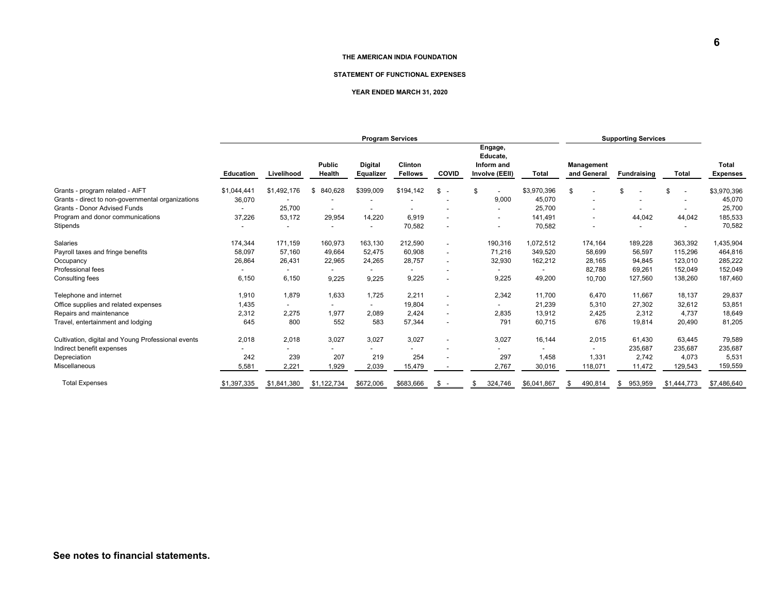#### **STATEMENT OF FUNCTIONAL EXPENSES**

#### **YEAR ENDED MARCH 31, 2020**

|                                                    | <b>Program Services</b> |                          |                  |                                    |                           |                                | <b>Supporting Services</b>                          |             |                                  |                    |              |                          |
|----------------------------------------------------|-------------------------|--------------------------|------------------|------------------------------------|---------------------------|--------------------------------|-----------------------------------------------------|-------------|----------------------------------|--------------------|--------------|--------------------------|
|                                                    | <b>Education</b>        | Livelihood               | Public<br>Health | <b>Digital</b><br><b>Equalizer</b> | Clinton<br><b>Fellows</b> | <b>COVID</b>                   | Engage,<br>Educate,<br>Inform and<br>Involve (EEII) | Total       | <b>Management</b><br>and General | <b>Fundraising</b> | <b>Total</b> | Total<br><b>Expenses</b> |
|                                                    |                         |                          |                  |                                    |                           |                                |                                                     |             |                                  |                    |              |                          |
| Grants - program related - AIFT                    | \$1,044,44'             | \$1,492,176              | 840,628<br>\$    | \$399,009                          | \$194,142                 | \$<br>$\overline{\phantom{a}}$ | \$                                                  | \$3,970,396 | -S                               | \$                 | \$           | \$3,970,396              |
| Grants - direct to non-governmental organizations  | 36,070                  |                          |                  |                                    |                           |                                | 9,000                                               | 45,070      |                                  |                    |              | 45,070                   |
| <b>Grants - Donor Advised Funds</b>                |                         | 25,700                   |                  |                                    |                           |                                |                                                     | 25,700      |                                  |                    |              | 25,700                   |
| Program and donor communications                   | 37,226                  | 53,172                   | 29,954           | 14,220                             | 6,919                     | $\overline{\phantom{a}}$       | $\overline{\phantom{0}}$                            | 141,491     | $\overline{\phantom{0}}$         | 44,042             | 44,042       | 185,533                  |
| Stipends                                           |                         |                          |                  |                                    | 70,582                    |                                | $\overline{\phantom{a}}$                            | 70,582      |                                  |                    |              | 70,582                   |
| <b>Salaries</b>                                    | 174,344                 | 171,159                  | 160,973          | 163,130                            | 212,590                   | $\overline{a}$                 | 190,316                                             | 1,072,512   | 174,164                          | 189,228            | 363,392      | 1,435,904                |
| Payroll taxes and fringe benefits                  | 58,097                  | 57,160                   | 49,664           | 52,475                             | 60,908                    | $\overline{\phantom{a}}$       | 71,216                                              | 349,520     | 58,699                           | 56,597             | 115,296      | 464,816                  |
| Occupancy                                          | 26,864                  | 26,431                   | 22,965           | 24,265                             | 28,757                    | $\overline{\phantom{a}}$       | 32,930                                              | 162,212     | 28,165                           | 94,845             | 123,010      | 285,222                  |
| Professional fees                                  |                         | $\overline{\phantom{a}}$ |                  | $\overline{\phantom{0}}$           |                           | $\overline{\phantom{a}}$       | $\overline{\phantom{0}}$                            |             | 82,788                           | 69,261             | 152,049      | 152,049                  |
| Consulting fees                                    | 6,150                   | 6,150                    | 9,225            | 9,225                              | 9,225                     | $\overline{\phantom{a}}$       | 9,225                                               | 49,200      | 10,700                           | 127,560            | 138,260      | 187,460                  |
| Telephone and internet                             | 1,910                   | 1,879                    | 1,633            | 1,725                              | 2,211                     | $\overline{\phantom{a}}$       | 2,342                                               | 11,700      | 6,470                            | 11,667             | 18,137       | 29,837                   |
| Office supplies and related expenses               | 1,435                   | $\overline{\phantom{a}}$ |                  | $\overline{\phantom{a}}$           | 19.804                    | $\overline{\phantom{a}}$       |                                                     | 21,239      | 5,310                            | 27.302             | 32,612       | 53,851                   |
| Repairs and maintenance                            | 2,312                   | 2,275                    | 1,977            | 2,089                              | 2.424                     | $\overline{a}$                 | 2,835                                               | 13,912      | 2,425                            | 2,312              | 4,737        | 18,649                   |
| Travel, entertainment and lodging                  | 645                     | 800                      | 552              | 583                                | 57,344                    | $\overline{\phantom{a}}$       | 791                                                 | 60,715      | 676                              | 19,814             | 20,490       | 81,205                   |
| Cultivation, digital and Young Professional events | 2,018                   | 2,018                    | 3,027            | 3,027                              | 3,027                     | $\overline{\phantom{a}}$       | 3,027                                               | 16,144      | 2,015                            | 61,430             | 63,445       | 79,589                   |
| Indirect benefit expenses                          |                         |                          |                  | $\overline{\phantom{0}}$           |                           | $\overline{\phantom{a}}$       |                                                     |             |                                  | 235,687            | 235,687      | 235,687                  |
| Depreciation                                       | 242                     | 239                      | 207              | 219                                | 254                       |                                | 297                                                 | 1,458       | 1,331                            | 2.742              | 4,073        | 5,531                    |
| <b>Miscellaneous</b>                               | 5,581                   | 2,221                    | 1,929            | 2,039                              | 15,479                    |                                | 2,767                                               | 30,016      | 118,071                          | 11,472             | 129,543      | 159,559                  |
| <b>Total Expenses</b>                              | \$1,397,335             | \$1,841,380              | \$1,122,734      | \$672,006                          | \$683,666                 | \$<br>$\overline{\phantom{a}}$ | 324,746<br>\$                                       | \$6,041,867 | 490,814<br>\$.                   | 953,959<br>\$      | \$1,444,773  | \$7,486,640              |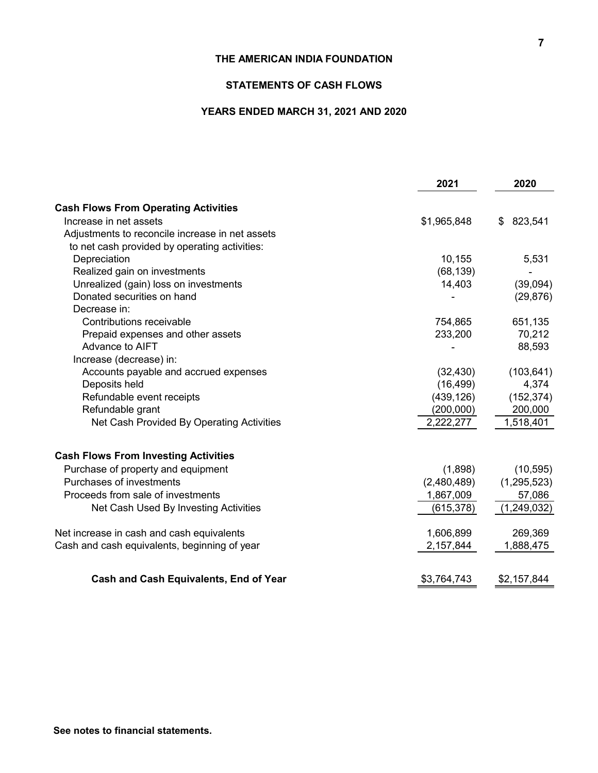# **STATEMENTS OF CASH FLOWS**

# **YEARS ENDED MARCH 31, 2021 AND 2020**

|                                                 | 2021        | 2020          |
|-------------------------------------------------|-------------|---------------|
| <b>Cash Flows From Operating Activities</b>     |             |               |
| Increase in net assets                          | \$1,965,848 | 823,541<br>\$ |
| Adjustments to reconcile increase in net assets |             |               |
| to net cash provided by operating activities:   |             |               |
| Depreciation                                    | 10,155      | 5,531         |
| Realized gain on investments                    | (68, 139)   |               |
| Unrealized (gain) loss on investments           | 14,403      | (39,094)      |
| Donated securities on hand                      |             | (29, 876)     |
| Decrease in:                                    |             |               |
| Contributions receivable                        | 754,865     | 651,135       |
| Prepaid expenses and other assets               | 233,200     | 70,212        |
| Advance to AIFT                                 |             | 88,593        |
| Increase (decrease) in:                         |             |               |
| Accounts payable and accrued expenses           | (32, 430)   | (103, 641)    |
| Deposits held                                   | (16, 499)   | 4,374         |
| Refundable event receipts                       | (439, 126)  | (152, 374)    |
| Refundable grant                                | (200,000)   | 200,000       |
| Net Cash Provided By Operating Activities       | 2,222,277   | 1,518,401     |
| <b>Cash Flows From Investing Activities</b>     |             |               |
| Purchase of property and equipment              | (1,898)     | (10, 595)     |
| Purchases of investments                        | (2,480,489) | (1, 295, 523) |
| Proceeds from sale of investments               | 1,867,009   | 57,086        |
| Net Cash Used By Investing Activities           | (615, 378)  | (1,249,032)   |
| Net increase in cash and cash equivalents       | 1,606,899   | 269,369       |
| Cash and cash equivalents, beginning of year    | 2,157,844   | 1,888,475     |
| <b>Cash and Cash Equivalents, End of Year</b>   | \$3,764,743 | \$2,157,844   |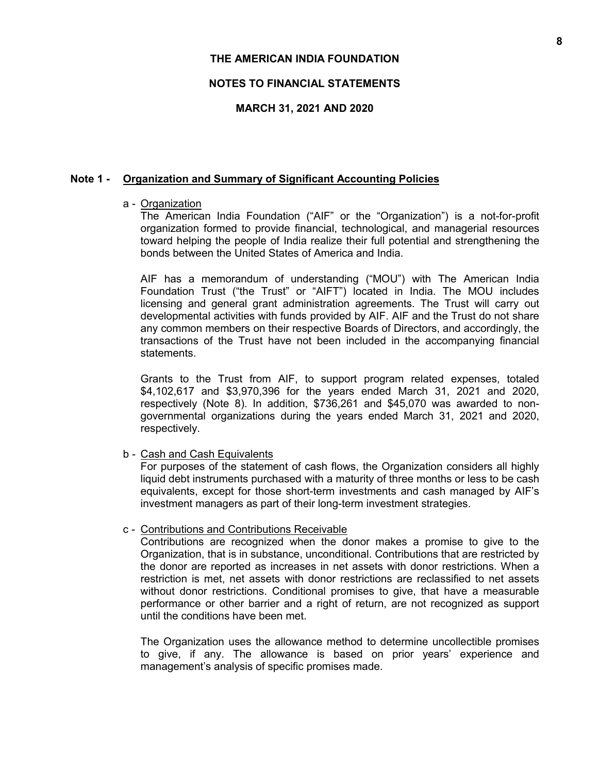# **NOTES TO FINANCIAL STATEMENTS**

## **MARCH 31, 2021 AND 2020**

## **Note 1 - Organization and Summary of Significant Accounting Policies**

### a - Organization

The American India Foundation ("AIF" or the "Organization") is a not-for-profit organization formed to provide financial, technological, and managerial resources toward helping the people of India realize their full potential and strengthening the bonds between the United States of America and India.

AIF has a memorandum of understanding ("MOU") with The American India Foundation Trust ("the Trust" or "AIFT") located in India. The MOU includes licensing and general grant administration agreements. The Trust will carry out developmental activities with funds provided by AIF. AIF and the Trust do not share any common members on their respective Boards of Directors, and accordingly, the transactions of the Trust have not been included in the accompanying financial statements.

Grants to the Trust from AIF, to support program related expenses, totaled \$4,102,617 and \$3,970,396 for the years ended March 31, 2021 and 2020, respectively (Note 8). In addition, \$736,261 and \$45,070 was awarded to nongovernmental organizations during the years ended March 31, 2021 and 2020, respectively.

b - Cash and Cash Equivalents

For purposes of the statement of cash flows, the Organization considers all highly liquid debt instruments purchased with a maturity of three months or less to be cash equivalents, except for those short-term investments and cash managed by AIF's investment managers as part of their long-term investment strategies.

c - Contributions and Contributions Receivable

Contributions are recognized when the donor makes a promise to give to the Organization, that is in substance, unconditional. Contributions that are restricted by the donor are reported as increases in net assets with donor restrictions. When a restriction is met, net assets with donor restrictions are reclassified to net assets without donor restrictions. Conditional promises to give, that have a measurable performance or other barrier and a right of return, are not recognized as support until the conditions have been met.

The Organization uses the allowance method to determine uncollectible promises to give, if any. The allowance is based on prior years' experience and management's analysis of specific promises made.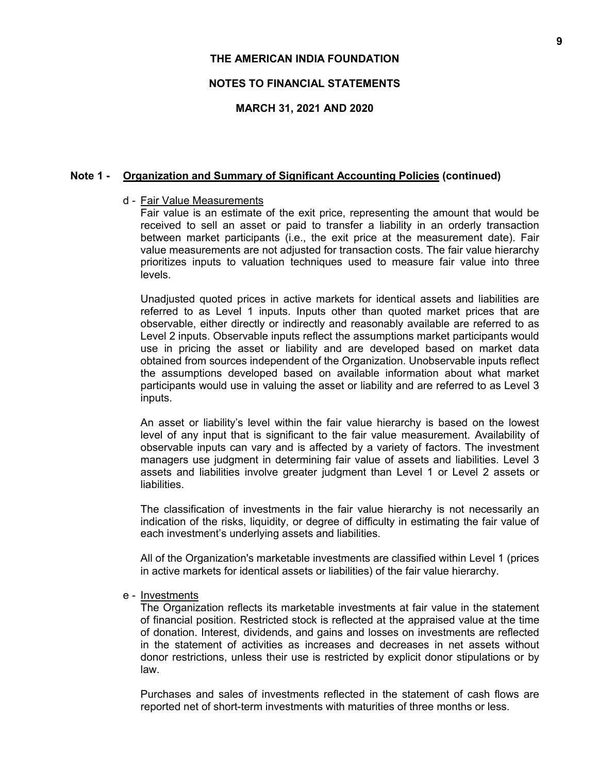## **NOTES TO FINANCIAL STATEMENTS**

### **MARCH 31, 2021 AND 2020**

### **Note 1 - Organization and Summary of Significant Accounting Policies (continued)**

### d - Fair Value Measurements

Fair value is an estimate of the exit price, representing the amount that would be received to sell an asset or paid to transfer a liability in an orderly transaction between market participants (i.e., the exit price at the measurement date). Fair value measurements are not adjusted for transaction costs. The fair value hierarchy prioritizes inputs to valuation techniques used to measure fair value into three levels.

Unadjusted quoted prices in active markets for identical assets and liabilities are referred to as Level 1 inputs. Inputs other than quoted market prices that are observable, either directly or indirectly and reasonably available are referred to as Level 2 inputs. Observable inputs reflect the assumptions market participants would use in pricing the asset or liability and are developed based on market data obtained from sources independent of the Organization. Unobservable inputs reflect the assumptions developed based on available information about what market participants would use in valuing the asset or liability and are referred to as Level 3 inputs.

An asset or liability's level within the fair value hierarchy is based on the lowest level of any input that is significant to the fair value measurement. Availability of observable inputs can vary and is affected by a variety of factors. The investment managers use judgment in determining fair value of assets and liabilities. Level 3 assets and liabilities involve greater judgment than Level 1 or Level 2 assets or liabilities.

The classification of investments in the fair value hierarchy is not necessarily an indication of the risks, liquidity, or degree of difficulty in estimating the fair value of each investment's underlying assets and liabilities.

All of the Organization's marketable investments are classified within Level 1 (prices in active markets for identical assets or liabilities) of the fair value hierarchy.

#### e - Investments

The Organization reflects its marketable investments at fair value in the statement of financial position. Restricted stock is reflected at the appraised value at the time of donation. Interest, dividends, and gains and losses on investments are reflected in the statement of activities as increases and decreases in net assets without donor restrictions, unless their use is restricted by explicit donor stipulations or by law.

Purchases and sales of investments reflected in the statement of cash flows are reported net of short-term investments with maturities of three months or less.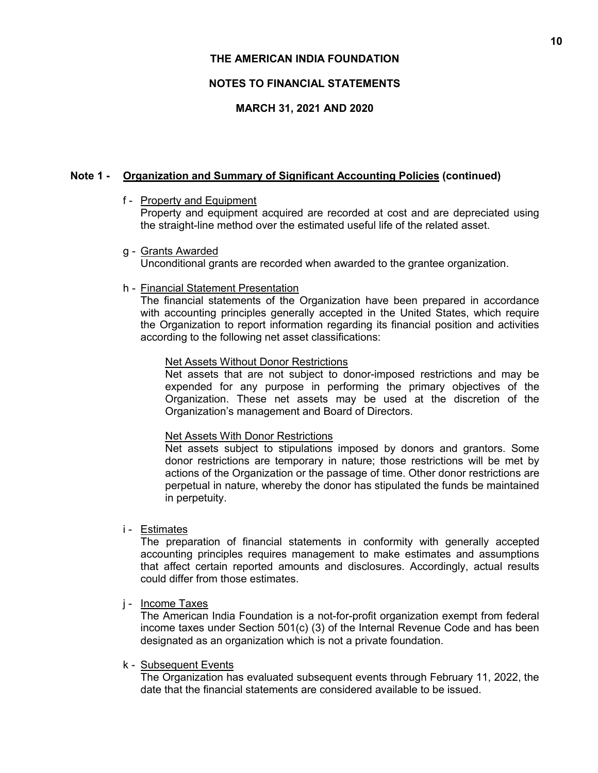# **NOTES TO FINANCIAL STATEMENTS**

# **MARCH 31, 2021 AND 2020**

# **Note 1 - Organization and Summary of Significant Accounting Policies (continued)**

f - Property and Equipment

Property and equipment acquired are recorded at cost and are depreciated using the straight-line method over the estimated useful life of the related asset.

g - Grants Awarded

Unconditional grants are recorded when awarded to the grantee organization.

h - Financial Statement Presentation

The financial statements of the Organization have been prepared in accordance with accounting principles generally accepted in the United States, which require the Organization to report information regarding its financial position and activities according to the following net asset classifications:

# Net Assets Without Donor Restrictions

Net assets that are not subject to donor-imposed restrictions and may be expended for any purpose in performing the primary objectives of the Organization. These net assets may be used at the discretion of the Organization's management and Board of Directors.

# Net Assets With Donor Restrictions

Net assets subject to stipulations imposed by donors and grantors. Some donor restrictions are temporary in nature; those restrictions will be met by actions of the Organization or the passage of time. Other donor restrictions are perpetual in nature, whereby the donor has stipulated the funds be maintained in perpetuity.

i - Estimates

The preparation of financial statements in conformity with generally accepted accounting principles requires management to make estimates and assumptions that affect certain reported amounts and disclosures. Accordingly, actual results could differ from those estimates.

# j - Income Taxes

The American India Foundation is a not-for-profit organization exempt from federal income taxes under Section 501(c) (3) of the Internal Revenue Code and has been designated as an organization which is not a private foundation.

# k - Subsequent Events

The Organization has evaluated subsequent events through February 11, 2022, the date that the financial statements are considered available to be issued.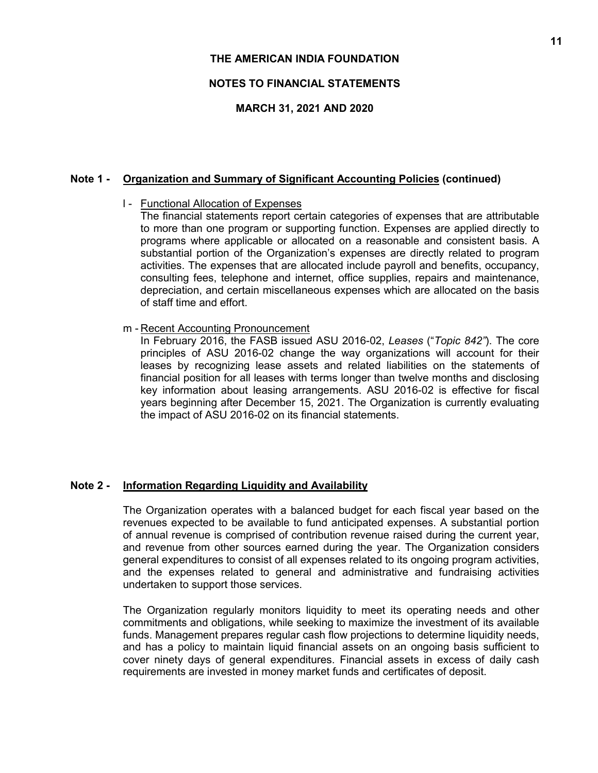# **NOTES TO FINANCIAL STATEMENTS**

# **MARCH 31, 2021 AND 2020**

# **Note 1 - Organization and Summary of Significant Accounting Policies (continued)**

# l - Functional Allocation of Expenses

The financial statements report certain categories of expenses that are attributable to more than one program or supporting function. Expenses are applied directly to programs where applicable or allocated on a reasonable and consistent basis. A substantial portion of the Organization's expenses are directly related to program activities. The expenses that are allocated include payroll and benefits, occupancy, consulting fees, telephone and internet, office supplies, repairs and maintenance, depreciation, and certain miscellaneous expenses which are allocated on the basis of staff time and effort.

## m - Recent Accounting Pronouncement

In February 2016, the FASB issued ASU 2016-02, *Leases* ("*Topic 842"*). The core principles of ASU 2016-02 change the way organizations will account for their leases by recognizing lease assets and related liabilities on the statements of financial position for all leases with terms longer than twelve months and disclosing key information about leasing arrangements. ASU 2016-02 is effective for fiscal years beginning after December 15, 2021. The Organization is currently evaluating the impact of ASU 2016-02 on its financial statements.

# **Note 2 - Information Regarding Liquidity and Availability**

The Organization operates with a balanced budget for each fiscal year based on the revenues expected to be available to fund anticipated expenses. A substantial portion of annual revenue is comprised of contribution revenue raised during the current year, and revenue from other sources earned during the year. The Organization considers general expenditures to consist of all expenses related to its ongoing program activities, and the expenses related to general and administrative and fundraising activities undertaken to support those services.

The Organization regularly monitors liquidity to meet its operating needs and other commitments and obligations, while seeking to maximize the investment of its available funds. Management prepares regular cash flow projections to determine liquidity needs, and has a policy to maintain liquid financial assets on an ongoing basis sufficient to cover ninety days of general expenditures. Financial assets in excess of daily cash requirements are invested in money market funds and certificates of deposit.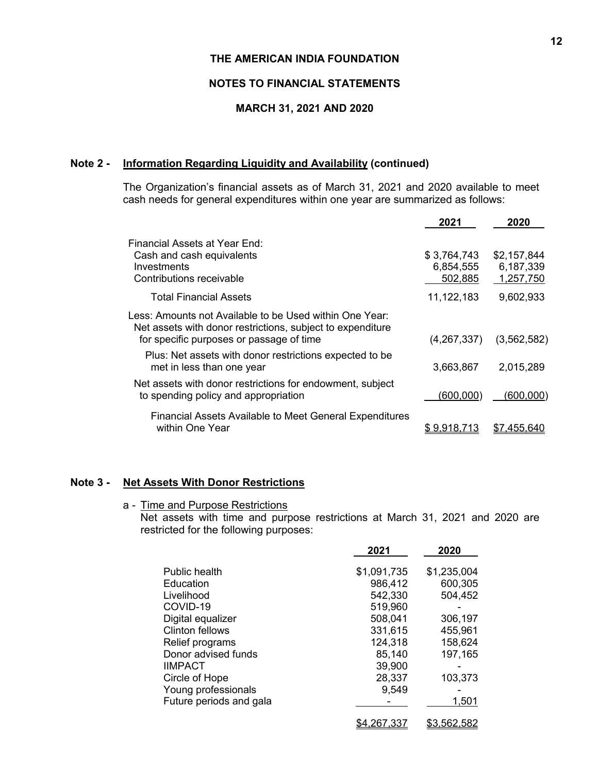# **NOTES TO FINANCIAL STATEMENTS**

# **MARCH 31, 2021 AND 2020**

# **Note 2 - Information Regarding Liquidity and Availability (continued)**

The Organization's financial assets as of March 31, 2021 and 2020 available to meet cash needs for general expenditures within one year are summarized as follows:

|                                                                                                                                                                   | 2021                                | 2020                                  |
|-------------------------------------------------------------------------------------------------------------------------------------------------------------------|-------------------------------------|---------------------------------------|
| Financial Assets at Year End:<br>Cash and cash equivalents<br>Investments<br>Contributions receivable                                                             | \$3,764,743<br>6,854,555<br>502,885 | \$2,157,844<br>6,187,339<br>1,257,750 |
| <b>Total Financial Assets</b>                                                                                                                                     | 11,122,183                          | 9,602,933                             |
| Less: Amounts not Available to be Used within One Year:<br>Net assets with donor restrictions, subject to expenditure<br>for specific purposes or passage of time | (4,267,337)                         | (3, 562, 582)                         |
| Plus: Net assets with donor restrictions expected to be<br>met in less than one year                                                                              | 3,663,867                           | 2,015,289                             |
| Net assets with donor restrictions for endowment, subject<br>to spending policy and appropriation                                                                 | (600,000)                           | (600,000)                             |
| <b>Financial Assets Available to Meet General Expenditures</b><br>within One Year                                                                                 | <u>\$ 9,918</u> .713                | \$7.455.640                           |

# **Note 3 - Net Assets With Donor Restrictions**

a - Time and Purpose Restrictions

Net assets with time and purpose restrictions at March 31, 2021 and 2020 are restricted for the following purposes:

|                         | 2021        | 2020        |
|-------------------------|-------------|-------------|
| Public health           | \$1,091,735 | \$1,235,004 |
| Education               | 986,412     | 600,305     |
| Livelihood              | 542,330     | 504,452     |
| COVID-19                | 519,960     |             |
| Digital equalizer       | 508,041     | 306,197     |
| Clinton fellows         | 331,615     | 455,961     |
| Relief programs         | 124,318     | 158,624     |
| Donor advised funds     | 85,140      | 197,165     |
| <b>IIMPACT</b>          | 39,900      |             |
| Circle of Hope          | 28,337      | 103,373     |
| Young professionals     | 9,549       |             |
| Future periods and gala |             | 1,501       |
|                         | \$4.267.337 | \$3,562,582 |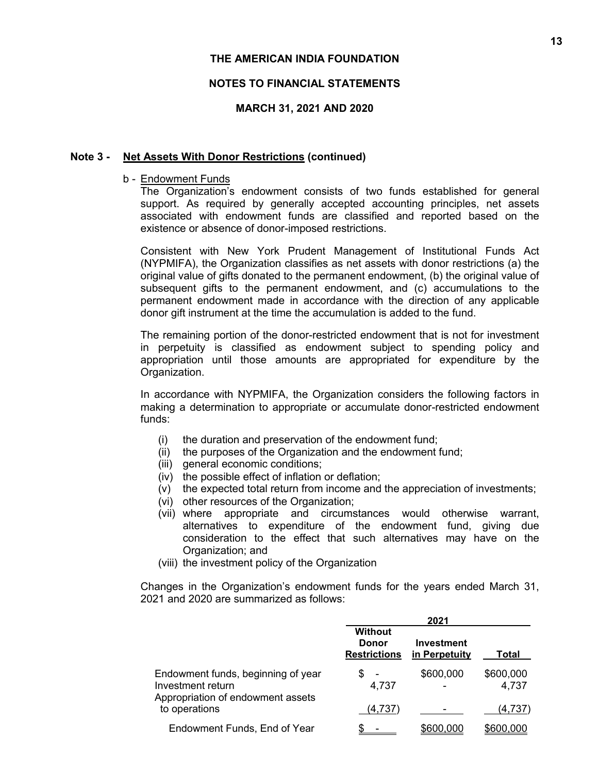# **NOTES TO FINANCIAL STATEMENTS**

# **MARCH 31, 2021 AND 2020**

# **Note 3 - Net Assets With Donor Restrictions (continued)**

# b - Endowment Funds

The Organization's endowment consists of two funds established for general support. As required by generally accepted accounting principles, net assets associated with endowment funds are classified and reported based on the existence or absence of donor-imposed restrictions.

Consistent with New York Prudent Management of Institutional Funds Act (NYPMIFA), the Organization classifies as net assets with donor restrictions (a) the original value of gifts donated to the permanent endowment, (b) the original value of subsequent gifts to the permanent endowment, and (c) accumulations to the permanent endowment made in accordance with the direction of any applicable donor gift instrument at the time the accumulation is added to the fund.

The remaining portion of the donor-restricted endowment that is not for investment in perpetuity is classified as endowment subject to spending policy and appropriation until those amounts are appropriated for expenditure by the Organization.

In accordance with NYPMIFA, the Organization considers the following factors in making a determination to appropriate or accumulate donor-restricted endowment funds:

- (i) the duration and preservation of the endowment fund;
- (ii) the purposes of the Organization and the endowment fund;
- (iii) general economic conditions;
- (iv) the possible effect of inflation or deflation;
- (v) the expected total return from income and the appreciation of investments;
- (vi) other resources of the Organization;
- (vii) where appropriate and circumstances would otherwise warrant, alternatives to expenditure of the endowment fund, giving due consideration to the effect that such alternatives may have on the Organization; and
- (viii) the investment policy of the Organization

Changes in the Organization's endowment funds for the years ended March 31, 2021 and 2020 are summarized as follows:

|                                                                                              | 2021                                                  |                                    |                    |  |  |  |
|----------------------------------------------------------------------------------------------|-------------------------------------------------------|------------------------------------|--------------------|--|--|--|
|                                                                                              | <b>Without</b><br><b>Donor</b><br><b>Restrictions</b> | <b>Investment</b><br>in Perpetuity | Total              |  |  |  |
| Endowment funds, beginning of year<br>Investment return<br>Appropriation of endowment assets | S<br>4,737                                            | \$600,000                          | \$600,000<br>4,737 |  |  |  |
| to operations                                                                                | (4,737)                                               |                                    | (4,737)            |  |  |  |
| Endowment Funds, End of Year                                                                 |                                                       | \$600,000                          | \$600,000          |  |  |  |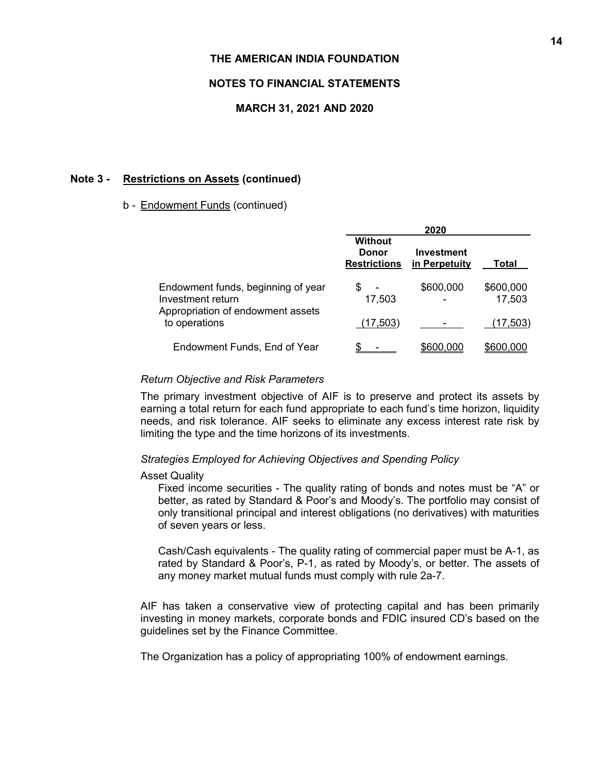# **NOTES TO FINANCIAL STATEMENTS**

## **MARCH 31, 2021 AND 2020**

## **Note 3 - Restrictions on Assets (continued)**

### b - Endowment Funds (continued)

|                                                                                              | 2020                                           |                             |                     |  |  |  |
|----------------------------------------------------------------------------------------------|------------------------------------------------|-----------------------------|---------------------|--|--|--|
|                                                                                              | <b>Without</b><br>Donor<br><b>Restrictions</b> | Investment<br>in Perpetuity | Total               |  |  |  |
| Endowment funds, beginning of year<br>Investment return<br>Appropriation of endowment assets | S<br>17,503                                    | \$600,000                   | \$600,000<br>17,503 |  |  |  |
| to operations                                                                                | (17, 503)                                      |                             | (17, 503)           |  |  |  |
| Endowment Funds, End of Year                                                                 |                                                | \$600,000                   | \$600,000           |  |  |  |

#### *Return Objective and Risk Parameters*

The primary investment objective of AIF is to preserve and protect its assets by earning a total return for each fund appropriate to each fund's time horizon, liquidity needs, and risk tolerance. AIF seeks to eliminate any excess interest rate risk by limiting the type and the time horizons of its investments.

#### *Strategies Employed for Achieving Objectives and Spending Policy*

### Asset Quality

Fixed income securities - The quality rating of bonds and notes must be "A" or better, as rated by Standard & Poor's and Moody's. The portfolio may consist of only transitional principal and interest obligations (no derivatives) with maturities of seven years or less.

Cash/Cash equivalents - The quality rating of commercial paper must be A-1, as rated by Standard & Poor's, P-1, as rated by Moody's, or better. The assets of any money market mutual funds must comply with rule 2a-7.

AIF has taken a conservative view of protecting capital and has been primarily investing in money markets, corporate bonds and FDIC insured CD's based on the guidelines set by the Finance Committee.

The Organization has a policy of appropriating 100% of endowment earnings.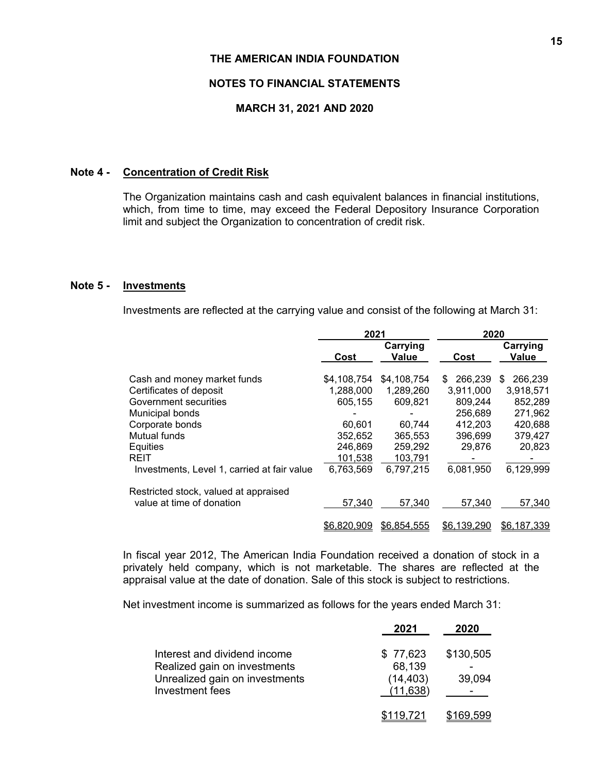# **NOTES TO FINANCIAL STATEMENTS**

# **MARCH 31, 2021 AND 2020**

# **Note 4 - Concentration of Credit Risk**

The Organization maintains cash and cash equivalent balances in financial institutions, which, from time to time, may exceed the Federal Depository Insurance Corporation limit and subject the Organization to concentration of credit risk.

# **Note 5 - Investments**

Investments are reflected at the carrying value and consist of the following at March 31:

|                                             | 2021        |             | 2020          |              |  |
|---------------------------------------------|-------------|-------------|---------------|--------------|--|
|                                             |             | Carrying    |               | Carrying     |  |
|                                             | Cost        | Value       | Cost          | Value        |  |
| Cash and money market funds                 | \$4,108,754 | \$4,108,754 | 266,239<br>\$ | 266,239<br>S |  |
| Certificates of deposit                     | 1,288,000   | 1,289,260   | 3.911.000     | 3,918,571    |  |
| Government securities                       | 605,155     | 609,821     | 809,244       | 852,289      |  |
| Municipal bonds                             |             |             | 256,689       | 271,962      |  |
| Corporate bonds                             | 60,601      | 60,744      | 412,203       | 420,688      |  |
| Mutual funds                                | 352,652     | 365,553     | 396.699       | 379,427      |  |
| Equities                                    | 246,869     | 259,292     | 29,876        | 20,823       |  |
| <b>REIT</b>                                 | 101,538     | 103,791     |               |              |  |
| Investments, Level 1, carried at fair value | 6,763,569   | 6,797,215   | 6,081,950     | 6,129,999    |  |
| Restricted stock, valued at appraised       |             |             |               |              |  |
| value at time of donation                   | 57,340      | 57,340      | 57,340        | 57,340       |  |
|                                             | \$6.820.909 | \$6,854,555 | \$6.139.290   | \$6,187,339  |  |

In fiscal year 2012, The American India Foundation received a donation of stock in a privately held company, which is not marketable. The shares are reflected at the appraisal value at the date of donation. Sale of this stock is subject to restrictions.

Net investment income is summarized as follows for the years ended March 31:

|                                                                                                                   | 2021                                         | 2020                |
|-------------------------------------------------------------------------------------------------------------------|----------------------------------------------|---------------------|
| Interest and dividend income<br>Realized gain on investments<br>Unrealized gain on investments<br>Investment fees | \$77,623<br>68,139<br>(14, 403)<br>(11, 638) | \$130,505<br>39,094 |
|                                                                                                                   | \$119,721                                    | \$169.599           |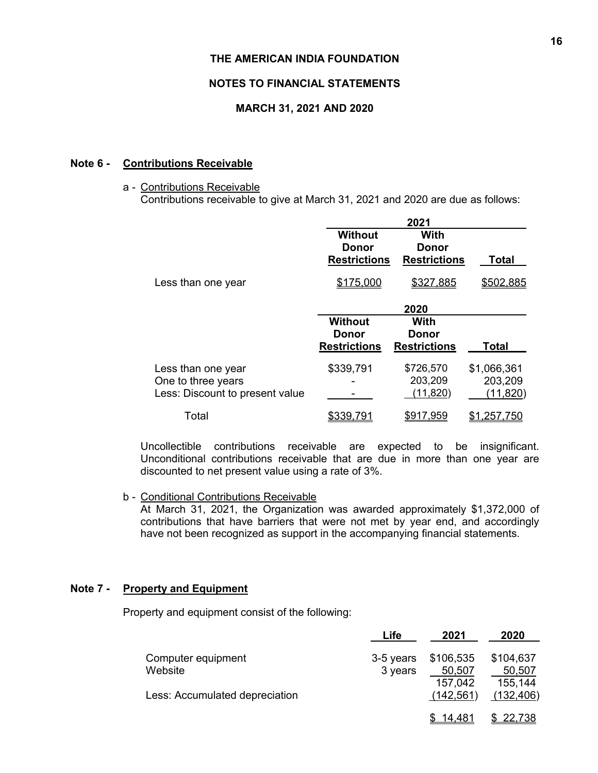# **NOTES TO FINANCIAL STATEMENTS**

# **MARCH 31, 2021 AND 2020**

## **Note 6 - Contributions Receivable**

### a - Contributions Receivable

Contributions receivable to give at March 31, 2021 and 2020 are due as follows:

|                                                                             | 2021                                           |                                      |                                     |  |  |  |
|-----------------------------------------------------------------------------|------------------------------------------------|--------------------------------------|-------------------------------------|--|--|--|
|                                                                             | <b>Without</b><br>Donor<br><b>Restrictions</b> | With<br>Donor<br><b>Restrictions</b> | Total                               |  |  |  |
| Less than one year                                                          | \$175,000                                      | \$327,885                            | \$502,885                           |  |  |  |
|                                                                             |                                                | 2020                                 |                                     |  |  |  |
|                                                                             | <b>Without</b><br>Donor<br><b>Restrictions</b> | With<br>Donor<br><b>Restrictions</b> | <b>Total</b>                        |  |  |  |
| Less than one year<br>One to three years<br>Less: Discount to present value | \$339,791                                      | \$726,570<br>203,209<br>(11, 820)    | \$1,066,361<br>203,209<br>(11, 820) |  |  |  |
| Total                                                                       |                                                | \$917,959                            |                                     |  |  |  |

Uncollectible contributions receivable are expected to be insignificant. Unconditional contributions receivable that are due in more than one year are discounted to net present value using a rate of 3%.

### b - Conditional Contributions Receivable

At March 31, 2021, the Organization was awarded approximately \$1,372,000 of contributions that have barriers that were not met by year end, and accordingly have not been recognized as support in the accompanying financial statements.

## **Note 7 - Property and Equipment**

Property and equipment consist of the following:

|                                | ∟ife      | 2021       | 2020          |
|--------------------------------|-----------|------------|---------------|
| Computer equipment             | 3-5 years | \$106,535  | \$104,637     |
| Website                        | 3 years   | 50,507     | 50,507        |
|                                |           | 157.042    | 155,144       |
| Less: Accumulated depreciation |           | (142, 561) | (132, 406)    |
|                                |           |            |               |
|                                |           | 14 481     | <u>22.738</u> |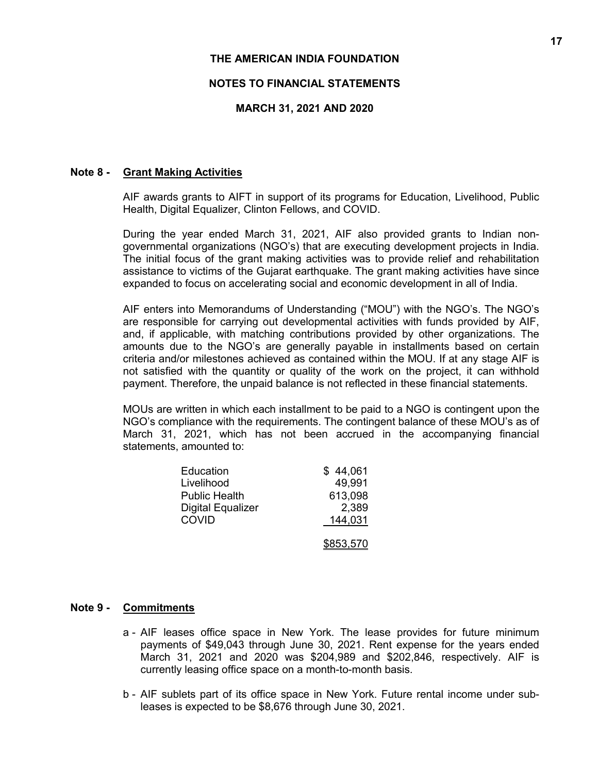# **NOTES TO FINANCIAL STATEMENTS**

# **MARCH 31, 2021 AND 2020**

## **Note 8 - Grant Making Activities**

AIF awards grants to AIFT in support of its programs for Education, Livelihood, Public Health, Digital Equalizer, Clinton Fellows, and COVID.

During the year ended March 31, 2021, AIF also provided grants to Indian nongovernmental organizations (NGO's) that are executing development projects in India. The initial focus of the grant making activities was to provide relief and rehabilitation assistance to victims of the Gujarat earthquake. The grant making activities have since expanded to focus on accelerating social and economic development in all of India.

AIF enters into Memorandums of Understanding ("MOU") with the NGO's. The NGO's are responsible for carrying out developmental activities with funds provided by AIF, and, if applicable, with matching contributions provided by other organizations. The amounts due to the NGO's are generally payable in installments based on certain criteria and/or milestones achieved as contained within the MOU. If at any stage AIF is not satisfied with the quantity or quality of the work on the project, it can withhold payment. Therefore, the unpaid balance is not reflected in these financial statements.

MOUs are written in which each installment to be paid to a NGO is contingent upon the NGO's compliance with the requirements. The contingent balance of these MOU's as of March 31, 2021, which has not been accrued in the accompanying financial statements, amounted to:

| Education                | \$44,061  |
|--------------------------|-----------|
| Livelihood               | 49.991    |
| <b>Public Health</b>     | 613,098   |
| <b>Digital Equalizer</b> | 2,389     |
| <b>COVID</b>             | 144,031   |
|                          | \$853,570 |

# **Note 9 - Commitments**

- a AIF leases office space in New York. The lease provides for future minimum payments of \$49,043 through June 30, 2021. Rent expense for the years ended March 31, 2021 and 2020 was \$204,989 and \$202,846, respectively. AIF is currently leasing office space on a month-to-month basis.
- b AIF sublets part of its office space in New York. Future rental income under subleases is expected to be \$8,676 through June 30, 2021.